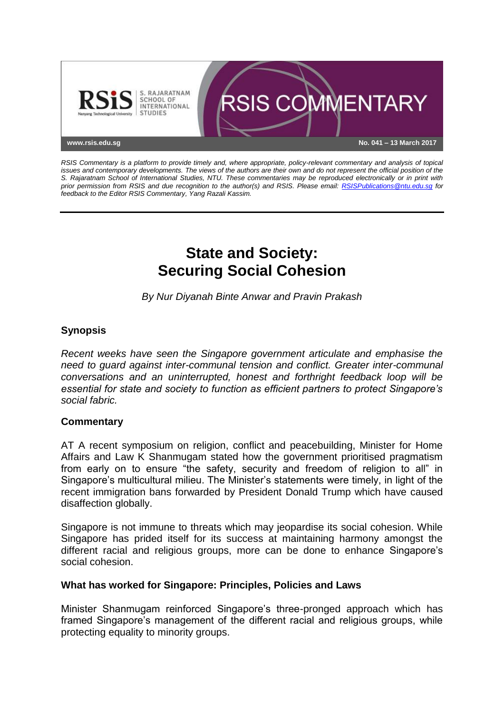

*RSIS Commentary is a platform to provide timely and, where appropriate, policy-relevant commentary and analysis of topical issues and contemporary developments. The views of the authors are their own and do not represent the official position of the S. Rajaratnam School of International Studies, NTU. These commentaries may be reproduced electronically or in print with prior permission from RSIS and due recognition to the author(s) and RSIS. Please email: [RSISPublications@ntu.edu.sg](mailto:RSISPublications@ntu.edu.sg) for feedback to the Editor RSIS Commentary, Yang Razali Kassim.*

# **State and Society: Securing Social Cohesion**

*By Nur Diyanah Binte Anwar and Pravin Prakash*

## **Synopsis**

*Recent weeks have seen the Singapore government articulate and emphasise the need to guard against inter-communal tension and conflict. Greater inter-communal conversations and an uninterrupted, honest and forthright feedback loop will be essential for state and society to function as efficient partners to protect Singapore's social fabric.*

## **Commentary**

AT A recent symposium on religion, conflict and peacebuilding, Minister for Home Affairs and Law K Shanmugam stated how the government prioritised pragmatism from early on to ensure "the safety, security and freedom of religion to all" in Singapore's multicultural milieu. The Minister's statements were timely, in light of the recent immigration bans forwarded by President Donald Trump which have caused disaffection globally.

Singapore is not immune to threats which may jeopardise its social cohesion. While Singapore has prided itself for its success at maintaining harmony amongst the different racial and religious groups, more can be done to enhance Singapore's social cohesion.

## **What has worked for Singapore: Principles, Policies and Laws**

Minister Shanmugam reinforced Singapore's three-pronged approach which has framed Singapore's management of the different racial and religious groups, while protecting equality to minority groups.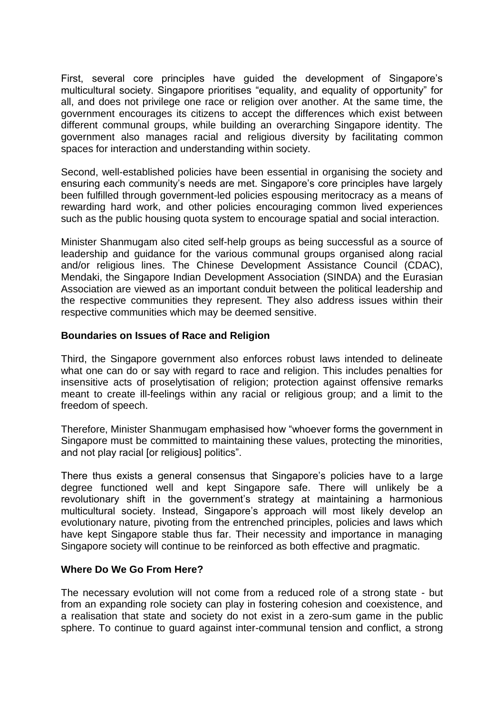First, several core principles have guided the development of Singapore's multicultural society. Singapore prioritises "equality, and equality of opportunity" for all, and does not privilege one race or religion over another. At the same time, the government encourages its citizens to accept the differences which exist between different communal groups, while building an overarching Singapore identity. The government also manages racial and religious diversity by facilitating common spaces for interaction and understanding within society.

Second, well-established policies have been essential in organising the society and ensuring each community's needs are met. Singapore's core principles have largely been fulfilled through government-led policies espousing meritocracy as a means of rewarding hard work, and other policies encouraging common lived experiences such as the public housing quota system to encourage spatial and social interaction.

Minister Shanmugam also cited self-help groups as being successful as a source of leadership and guidance for the various communal groups organised along racial and/or religious lines. The Chinese Development Assistance Council (CDAC), Mendaki, the Singapore Indian Development Association (SINDA) and the Eurasian Association are viewed as an important conduit between the political leadership and the respective communities they represent. They also address issues within their respective communities which may be deemed sensitive.

### **Boundaries on Issues of Race and Religion**

Third, the Singapore government also enforces robust laws intended to delineate what one can do or say with regard to race and religion. This includes penalties for insensitive acts of proselytisation of religion; protection against offensive remarks meant to create ill-feelings within any racial or religious group; and a limit to the freedom of speech.

Therefore, Minister Shanmugam emphasised how "whoever forms the government in Singapore must be committed to maintaining these values, protecting the minorities, and not play racial [or religious] politics".

There thus exists a general consensus that Singapore's policies have to a large degree functioned well and kept Singapore safe. There will unlikely be a revolutionary shift in the government's strategy at maintaining a harmonious multicultural society. Instead, Singapore's approach will most likely develop an evolutionary nature, pivoting from the entrenched principles, policies and laws which have kept Singapore stable thus far. Their necessity and importance in managing Singapore society will continue to be reinforced as both effective and pragmatic.

#### **Where Do We Go From Here?**

The necessary evolution will not come from a reduced role of a strong state - but from an expanding role society can play in fostering cohesion and coexistence, and a realisation that state and society do not exist in a zero-sum game in the public sphere. To continue to guard against inter-communal tension and conflict, a strong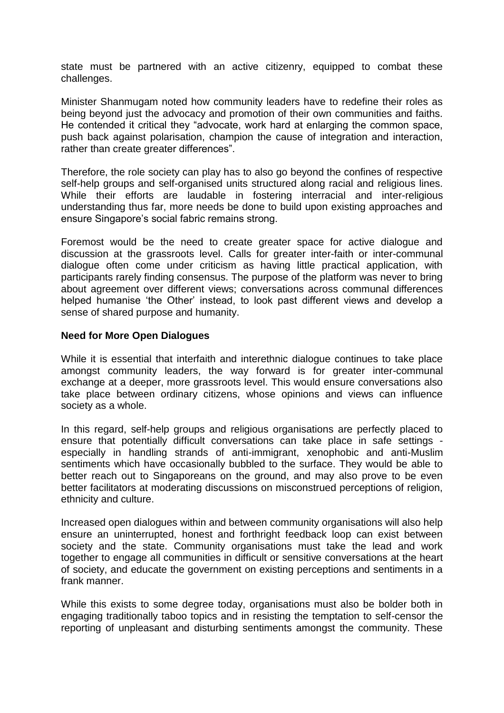state must be partnered with an active citizenry, equipped to combat these challenges.

Minister Shanmugam noted how community leaders have to redefine their roles as being beyond just the advocacy and promotion of their own communities and faiths. He contended it critical they "advocate, work hard at enlarging the common space, push back against polarisation, champion the cause of integration and interaction, rather than create greater differences".

Therefore, the role society can play has to also go beyond the confines of respective self-help groups and self-organised units structured along racial and religious lines. While their efforts are laudable in fostering interracial and inter-religious understanding thus far, more needs be done to build upon existing approaches and ensure Singapore's social fabric remains strong.

Foremost would be the need to create greater space for active dialogue and discussion at the grassroots level. Calls for greater inter-faith or inter-communal dialogue often come under criticism as having little practical application, with participants rarely finding consensus. The purpose of the platform was never to bring about agreement over different views; conversations across communal differences helped humanise 'the Other' instead, to look past different views and develop a sense of shared purpose and humanity.

### **Need for More Open Dialogues**

While it is essential that interfaith and interethnic dialogue continues to take place amongst community leaders, the way forward is for greater inter-communal exchange at a deeper, more grassroots level. This would ensure conversations also take place between ordinary citizens, whose opinions and views can influence society as a whole.

In this regard, self-help groups and religious organisations are perfectly placed to ensure that potentially difficult conversations can take place in safe settings especially in handling strands of anti-immigrant, xenophobic and anti-Muslim sentiments which have occasionally bubbled to the surface. They would be able to better reach out to Singaporeans on the ground, and may also prove to be even better facilitators at moderating discussions on misconstrued perceptions of religion, ethnicity and culture.

Increased open dialogues within and between community organisations will also help ensure an uninterrupted, honest and forthright feedback loop can exist between society and the state. Community organisations must take the lead and work together to engage all communities in difficult or sensitive conversations at the heart of society, and educate the government on existing perceptions and sentiments in a frank manner.

While this exists to some degree today, organisations must also be bolder both in engaging traditionally taboo topics and in resisting the temptation to self-censor the reporting of unpleasant and disturbing sentiments amongst the community. These